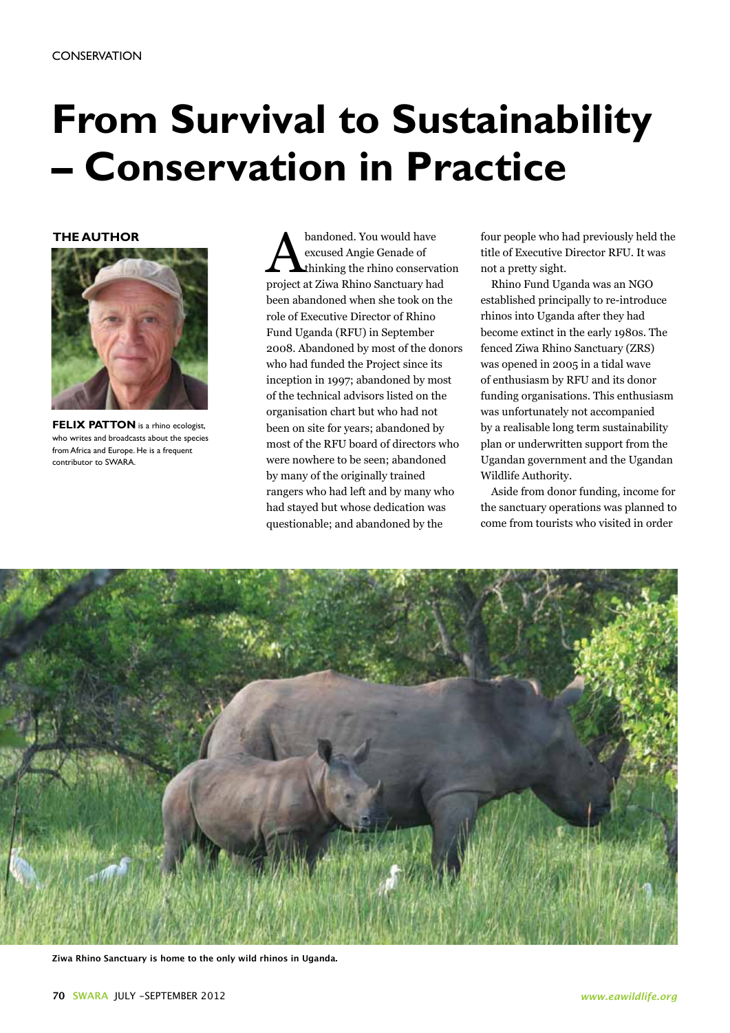## **From Survival to Sustainability – Conservation in Practice**

## **THE AUTHOR**



**FELIX PATTON** is a rhino ecologist, who writes and broadcasts about the species from Africa and Europe. He is a frequent contributor to SWARA.

bandoned. You would have<br>excused Angie Genade of<br>project at Ziwa Rhino Sanctuary has excused Angie Genade of thinking the rhino conservation project at Ziwa Rhino Sanctuary had been abandoned when she took on the role of Executive Director of Rhino Fund Uganda (RFU) in September 2008. Abandoned by most of the donors who had funded the Project since its inception in 1997; abandoned by most of the technical advisors listed on the organisation chart but who had not been on site for years; abandoned by most of the RFU board of directors who were nowhere to be seen; abandoned by many of the originally trained rangers who had left and by many who had stayed but whose dedication was questionable; and abandoned by the

four people who had previously held the title of Executive Director RFU. It was not a pretty sight.

Rhino Fund Uganda was an NGO established principally to re-introduce rhinos into Uganda after they had become extinct in the early 1980s. The fenced Ziwa Rhino Sanctuary (ZRS) was opened in 2005 in a tidal wave of enthusiasm by RFU and its donor funding organisations. This enthusiasm was unfortunately not accompanied by a realisable long term sustainability plan or underwritten support from the Ugandan government and the Ugandan Wildlife Authority.

Aside from donor funding, income for the sanctuary operations was planned to come from tourists who visited in order



**Ziwa Rhino Sanctuary is home to the only wild rhinos in Uganda.**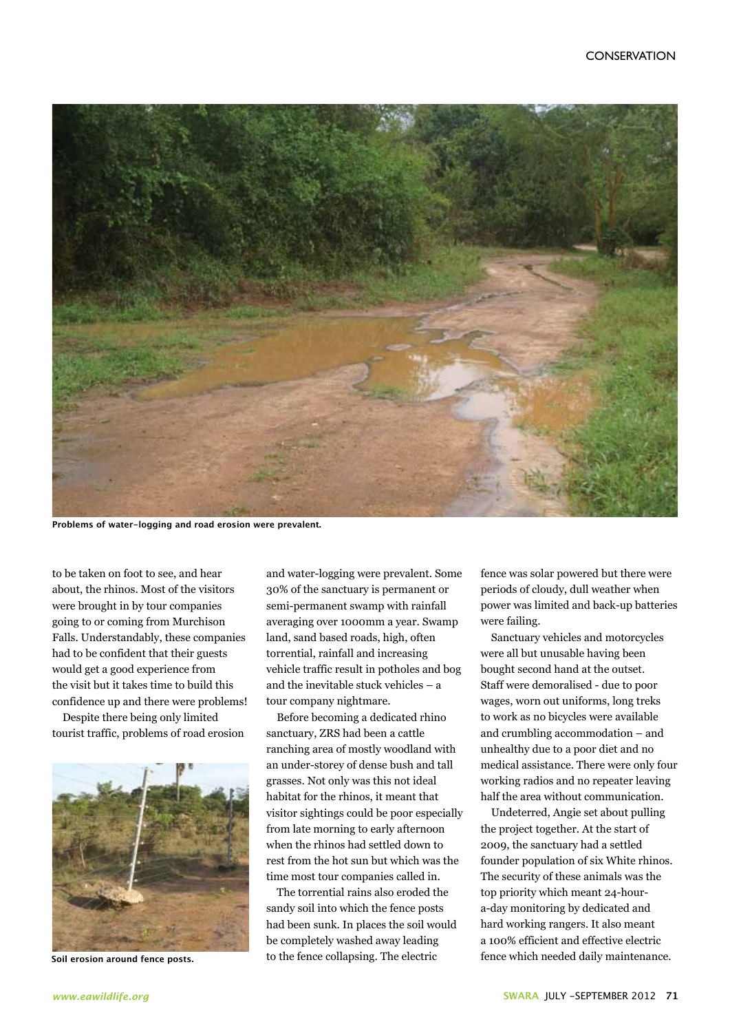

**Problems of water-logging and road erosion were prevalent.**

to be taken on foot to see, and hear about, the rhinos. Most of the visitors were brought in by tour companies going to or coming from Murchison Falls. Understandably, these companies had to be confident that their guests would get a good experience from the visit but it takes time to build this confidence up and there were problems!

Despite there being only limited tourist traffic, problems of road erosion



**Soil erosion around fence posts.**

and water-logging were prevalent. Some 30% of the sanctuary is permanent or semi-permanent swamp with rainfall averaging over 1000mm a year. Swamp land, sand based roads, high, often torrential, rainfall and increasing vehicle traffic result in potholes and bog and the inevitable stuck vehicles – a tour company nightmare.

Before becoming a dedicated rhino sanctuary, ZRS had been a cattle ranching area of mostly woodland with an under-storey of dense bush and tall grasses. Not only was this not ideal habitat for the rhinos, it meant that visitor sightings could be poor especially from late morning to early afternoon when the rhinos had settled down to rest from the hot sun but which was the time most tour companies called in.

The torrential rains also eroded the sandy soil into which the fence posts had been sunk. In places the soil would be completely washed away leading to the fence collapsing. The electric

fence was solar powered but there were periods of cloudy, dull weather when power was limited and back-up batteries were failing.

Sanctuary vehicles and motorcycles were all but unusable having been bought second hand at the outset. Staff were demoralised - due to poor wages, worn out uniforms, long treks to work as no bicycles were available and crumbling accommodation – and unhealthy due to a poor diet and no medical assistance. There were only four working radios and no repeater leaving half the area without communication.

Undeterred, Angie set about pulling the project together. At the start of 2009, the sanctuary had a settled founder population of six White rhinos. The security of these animals was the top priority which meant 24-houra-day monitoring by dedicated and hard working rangers. It also meant a 100% efficient and effective electric fence which needed daily maintenance.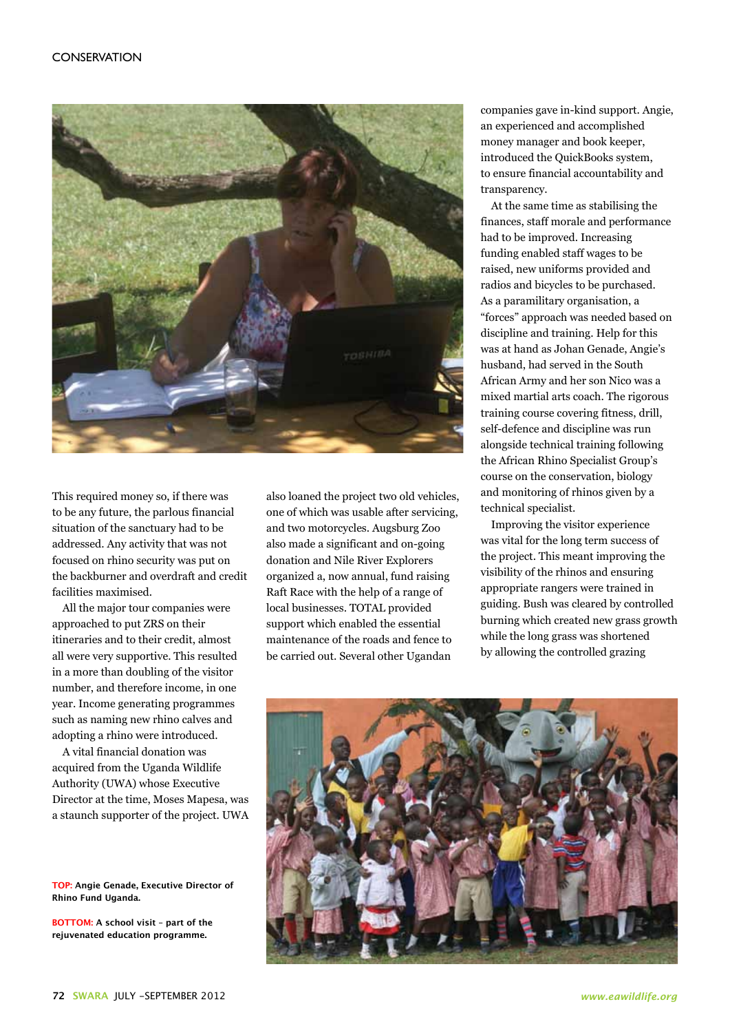

This required money so, if there was to be any future, the parlous financial situation of the sanctuary had to be addressed. Any activity that was not focused on rhino security was put on the backburner and overdraft and credit facilities maximised.

All the major tour companies were approached to put ZRS on their itineraries and to their credit, almost all were very supportive. This resulted in a more than doubling of the visitor number, and therefore income, in one year. Income generating programmes such as naming new rhino calves and adopting a rhino were introduced.

A vital financial donation was acquired from the Uganda Wildlife Authority (UWA) whose Executive Director at the time, Moses Mapesa, was a staunch supporter of the project. UWA

**TOP: Angie Genade, Executive Director of Rhino Fund Uganda.**

**BOTTOM: A school visit – part of the rejuvenated education programme.**

also loaned the project two old vehicles, one of which was usable after servicing, and two motorcycles. Augsburg Zoo also made a significant and on-going donation and Nile River Explorers organized a, now annual, fund raising Raft Race with the help of a range of local businesses. TOTAL provided support which enabled the essential maintenance of the roads and fence to be carried out. Several other Ugandan

companies gave in-kind support. Angie, an experienced and accomplished money manager and book keeper, introduced the QuickBooks system, to ensure financial accountability and transparency.

At the same time as stabilising the finances, staff morale and performance had to be improved. Increasing funding enabled staff wages to be raised, new uniforms provided and radios and bicycles to be purchased. As a paramilitary organisation, a "forces" approach was needed based on discipline and training. Help for this was at hand as Johan Genade, Angie's husband, had served in the South African Army and her son Nico was a mixed martial arts coach. The rigorous training course covering fitness, drill, self-defence and discipline was run alongside technical training following the African Rhino Specialist Group's course on the conservation, biology and monitoring of rhinos given by a technical specialist.

Improving the visitor experience was vital for the long term success of the project. This meant improving the visibility of the rhinos and ensuring appropriate rangers were trained in guiding. Bush was cleared by controlled burning which created new grass growth while the long grass was shortened by allowing the controlled grazing

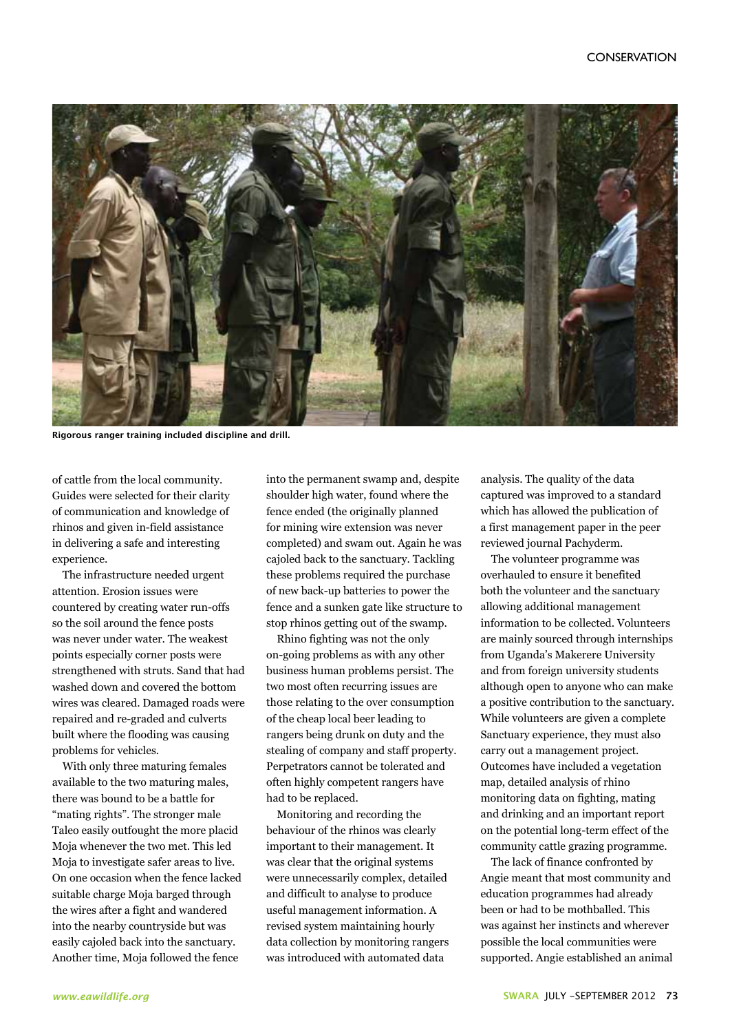

**Rigorous ranger training included discipline and drill.**

of cattle from the local community. Guides were selected for their clarity of communication and knowledge of rhinos and given in-field assistance in delivering a safe and interesting experience.

The infrastructure needed urgent attention. Erosion issues were countered by creating water run-offs so the soil around the fence posts was never under water. The weakest points especially corner posts were strengthened with struts. Sand that had washed down and covered the bottom wires was cleared. Damaged roads were repaired and re-graded and culverts built where the flooding was causing problems for vehicles.

With only three maturing females available to the two maturing males, there was bound to be a battle for "mating rights". The stronger male Taleo easily outfought the more placid Moja whenever the two met. This led Moja to investigate safer areas to live. On one occasion when the fence lacked suitable charge Moja barged through the wires after a fight and wandered into the nearby countryside but was easily cajoled back into the sanctuary. Another time, Moja followed the fence

into the permanent swamp and, despite shoulder high water, found where the fence ended (the originally planned for mining wire extension was never completed) and swam out. Again he was cajoled back to the sanctuary. Tackling these problems required the purchase of new back-up batteries to power the fence and a sunken gate like structure to stop rhinos getting out of the swamp.

Rhino fighting was not the only on-going problems as with any other business human problems persist. The two most often recurring issues are those relating to the over consumption of the cheap local beer leading to rangers being drunk on duty and the stealing of company and staff property. Perpetrators cannot be tolerated and often highly competent rangers have had to be replaced.

Monitoring and recording the behaviour of the rhinos was clearly important to their management. It was clear that the original systems were unnecessarily complex, detailed and difficult to analyse to produce useful management information. A revised system maintaining hourly data collection by monitoring rangers was introduced with automated data

analysis. The quality of the data captured was improved to a standard which has allowed the publication of a first management paper in the peer reviewed journal Pachyderm.

The volunteer programme was overhauled to ensure it benefited both the volunteer and the sanctuary allowing additional management information to be collected. Volunteers are mainly sourced through internships from Uganda's Makerere University and from foreign university students although open to anyone who can make a positive contribution to the sanctuary. While volunteers are given a complete Sanctuary experience, they must also carry out a management project. Outcomes have included a vegetation map, detailed analysis of rhino monitoring data on fighting, mating and drinking and an important report on the potential long-term effect of the community cattle grazing programme.

The lack of finance confronted by Angie meant that most community and education programmes had already been or had to be mothballed. This was against her instincts and wherever possible the local communities were supported. Angie established an animal